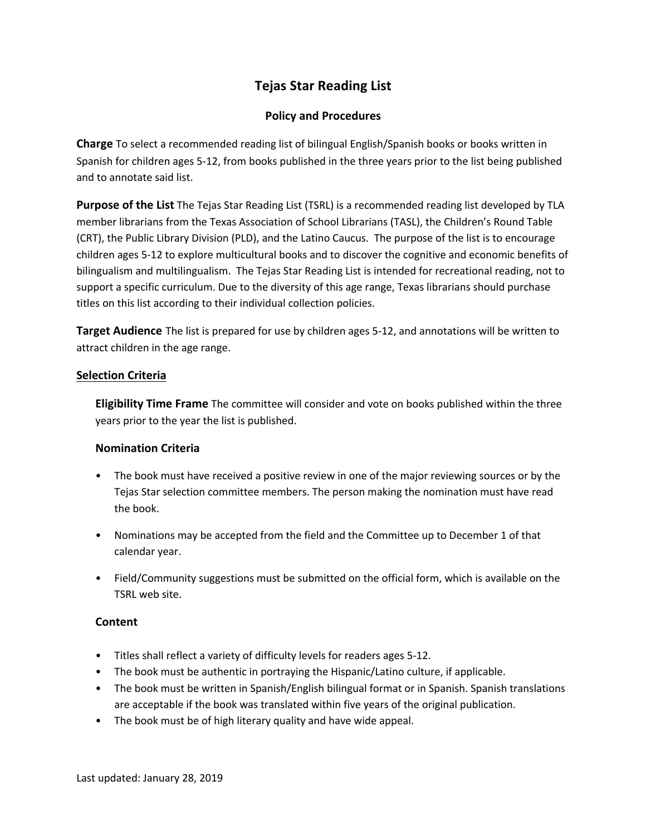# **Tejas Star Reading List**

## **Policy and Procedures**

**Charge** To select a recommended reading list of bilingual English/Spanish books or books written in Spanish for children ages 5-12, from books published in the three years prior to the list being published and to annotate said list.

**Purpose of the List** The Tejas Star Reading List (TSRL) is a recommended reading list developed by TLA member librarians from the Texas Association of School Librarians (TASL), the Children's Round Table (CRT), the Public Library Division (PLD), and the Latino Caucus. The purpose of the list is to encourage children ages 5-12 to explore multicultural books and to discover the cognitive and economic benefits of bilingualism and multilingualism. The Tejas Star Reading List is intended for recreational reading, not to support a specific curriculum. Due to the diversity of this age range, Texas librarians should purchase titles on this list according to their individual collection policies.

**Target Audience** The list is prepared for use by children ages 5-12, and annotations will be written to attract children in the age range.

### **Selection Criteria**

**Eligibility Time Frame** The committee will consider and vote on books published within the three years prior to the year the list is published.

## **Nomination Criteria**

- The book must have received a positive review in one of the major reviewing sources or by the Tejas Star selection committee members. The person making the nomination must have read the book.
- Nominations may be accepted from the field and the Committee up to December 1 of that calendar year.
- Field/Community suggestions must be submitted on the official form, which is available on the TSRL web site.

## **Content**

- Titles shall reflect a variety of difficulty levels for readers ages 5-12.
- The book must be authentic in portraying the Hispanic/Latino culture, if applicable.
- The book must be written in Spanish/English bilingual format or in Spanish. Spanish translations are acceptable if the book was translated within five years of the original publication.
- The book must be of high literary quality and have wide appeal.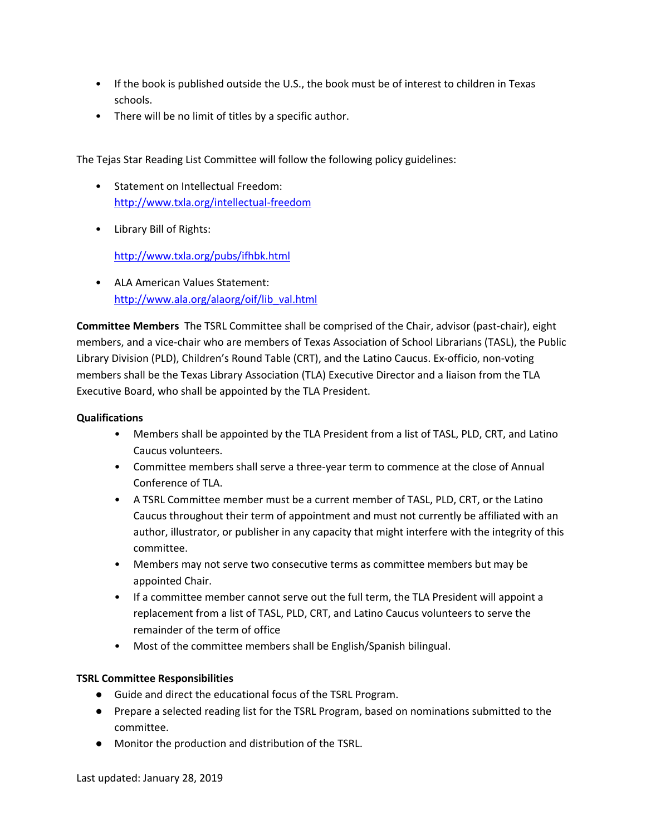- If the book is published outside the U.S., the book must be of interest to children in Texas schools.
- There will be no limit of titles by a specific author.

The Tejas Star Reading List Committee will follow the following policy guidelines:

- Statement on Intellectual Freedom: http://www.txla.org/intellectual-freedom
- Library Bill of Rights:

http://www.txla.org/pubs/ifhbk.html

• ALA American Values Statement: http://www.ala.org/alaorg/oif/lib\_val.html

**Committee Members** The TSRL Committee shall be comprised of the Chair, advisor (past-chair), eight members, and a vice-chair who are members of Texas Association of School Librarians (TASL), the Public Library Division (PLD), Children's Round Table (CRT), and the Latino Caucus. Ex-officio, non-voting members shall be the Texas Library Association (TLA) Executive Director and a liaison from the TLA Executive Board, who shall be appointed by the TLA President.

#### **Qualifications**

- Members shall be appointed by the TLA President from a list of TASL, PLD, CRT, and Latino Caucus volunteers.
- Committee members shall serve a three-year term to commence at the close of Annual Conference of TLA.
- A TSRL Committee member must be a current member of TASL, PLD, CRT, or the Latino Caucus throughout their term of appointment and must not currently be affiliated with an author, illustrator, or publisher in any capacity that might interfere with the integrity of this committee.
- Members may not serve two consecutive terms as committee members but may be appointed Chair.
- If a committee member cannot serve out the full term, the TLA President will appoint a replacement from a list of TASL, PLD, CRT, and Latino Caucus volunteers to serve the remainder of the term of office
- Most of the committee members shall be English/Spanish bilingual.

#### **TSRL Committee Responsibilities**

- Guide and direct the educational focus of the TSRL Program.
- Prepare a selected reading list for the TSRL Program, based on nominations submitted to the committee.
- Monitor the production and distribution of the TSRL.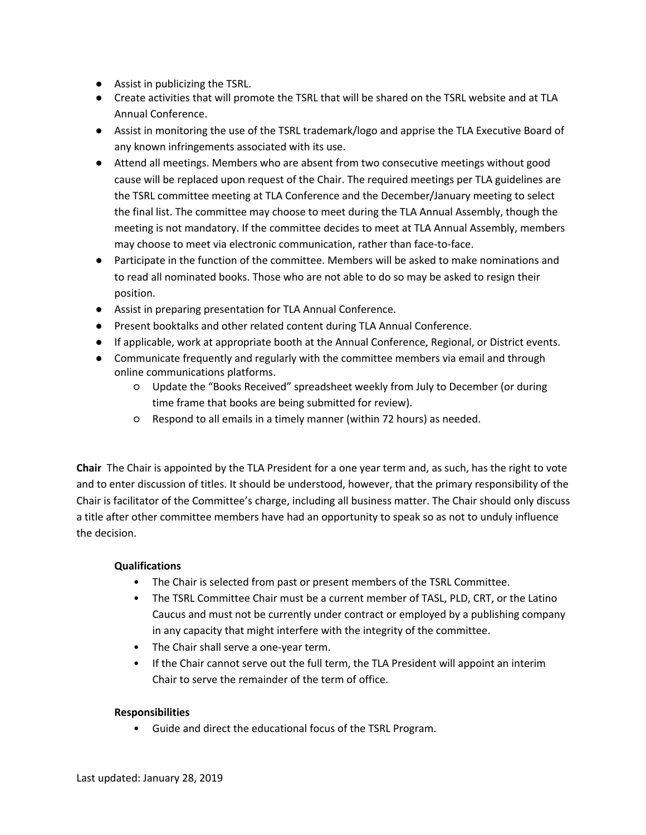- Assist in publicizing the TSRL.
- Create activities that will promote the TSRL that will be shared on the TSRL website and at TLA Annual Conference.
- Assist in monitoring the use of the TSRL trademark/logo and apprise the TLA Executive Board of any known infringements associated with its use.
- Attend all meetings. Members who are absent from two consecutive meetings without good cause will be replaced upon request of the Chair. The required meetings per TLA guidelines are the TSRL committee meeting at TLA Conference and the December/January meeting to select the final list. The committee may choose to meet during the TLA Annual Assembly, though the meeting is not mandatory. If the committee decides to meet at TLA Annual Assembly, members may choose to meet via electronic communication, rather than face-to-face.
- Participate in the function of the committee. Members will be asked to make nominations and to read all nominated books. Those who are not able to do so may be asked to resign their position.
- Assist in preparing presentation for TLA Annual Conference.
- Present booktalks and other related content during TLA Annual Conference.
- If applicable, work at appropriate booth at the Annual Conference, Regional, or District events.
- Communicate frequently and regularly with the committee members via email and through online communications platforms.
	- Update the "Books Received" spreadsheet weekly from July to December (or during time frame that books are being submitted for review).
	- Respond to all emails in a timely manner (within 72 hours) as needed.

**Chair** The Chair is appointed by the TLA President for a one year term and, as such, has the right to vote and to enter discussion of titles. It should be understood, however, that the primary responsibility of the Chair is facilitator of the Committee's charge, including all business matter. The Chair should only discuss a title after other committee members have had an opportunity to speak so as not to unduly influence the decision.

## **Qualifications**

- The Chair is selected from past or present members of the TSRL Committee.
- The TSRL Committee Chair must be a current member of TASL, PLD, CRT, or the Latino Caucus and must not be currently under contract or employed by a publishing company in any capacity that might interfere with the integrity of the committee.
- The Chair shall serve a one-year term.
- If the Chair cannot serve out the full term, the TLA President will appoint an interim Chair to serve the remainder of the term of office.

#### **Responsibilities**

• Guide and direct the educational focus of the TSRL Program.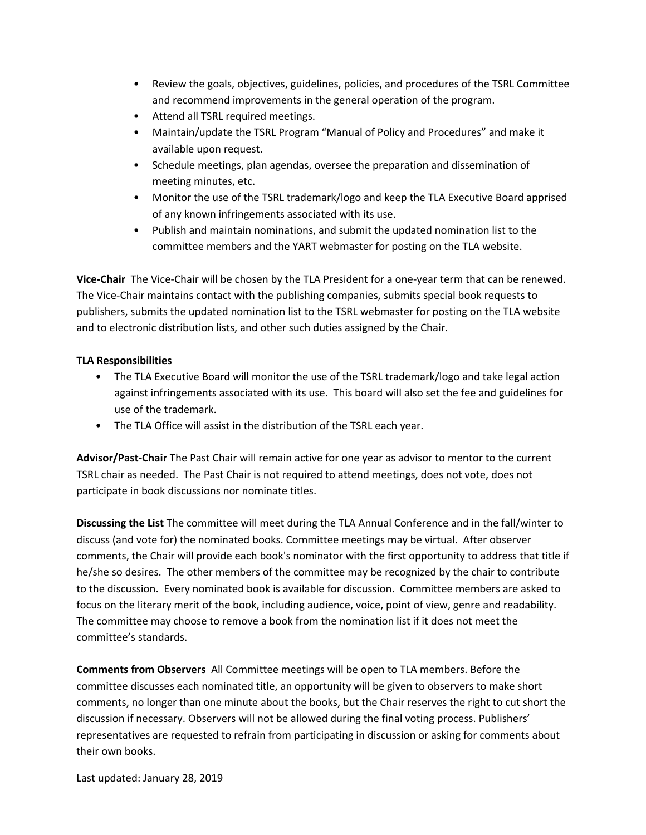- Review the goals, objectives, guidelines, policies, and procedures of the TSRL Committee and recommend improvements in the general operation of the program.
- Attend all TSRL required meetings.
- Maintain/update the TSRL Program "Manual of Policy and Procedures" and make it available upon request.
- Schedule meetings, plan agendas, oversee the preparation and dissemination of meeting minutes, etc.
- Monitor the use of the TSRL trademark/logo and keep the TLA Executive Board apprised of any known infringements associated with its use.
- Publish and maintain nominations, and submit the updated nomination list to the committee members and the YART webmaster for posting on the TLA website.

**Vice-Chair** The Vice-Chair will be chosen by the TLA President for a one-year term that can be renewed. The Vice-Chair maintains contact with the publishing companies, submits special book requests to publishers, submits the updated nomination list to the TSRL webmaster for posting on the TLA website and to electronic distribution lists, and other such duties assigned by the Chair.

#### **TLA Responsibilities**

- The TLA Executive Board will monitor the use of the TSRL trademark/logo and take legal action against infringements associated with its use. This board will also set the fee and guidelines for use of the trademark.
- The TLA Office will assist in the distribution of the TSRL each year.

**Advisor/Past-Chair** The Past Chair will remain active for one year as advisor to mentor to the current TSRL chair as needed. The Past Chair is not required to attend meetings, does not vote, does not participate in book discussions nor nominate titles.

**Discussing the List** The committee will meet during the TLA Annual Conference and in the fall/winter to discuss (and vote for) the nominated books. Committee meetings may be virtual. After observer comments, the Chair will provide each book's nominator with the first opportunity to address that title if he/she so desires. The other members of the committee may be recognized by the chair to contribute to the discussion. Every nominated book is available for discussion. Committee members are asked to focus on the literary merit of the book, including audience, voice, point of view, genre and readability. The committee may choose to remove a book from the nomination list if it does not meet the committee's standards.

**Comments from Observers** All Committee meetings will be open to TLA members. Before the committee discusses each nominated title, an opportunity will be given to observers to make short comments, no longer than one minute about the books, but the Chair reserves the right to cut short the discussion if necessary. Observers will not be allowed during the final voting process. Publishers' representatives are requested to refrain from participating in discussion or asking for comments about their own books.

Last updated: January 28, 2019